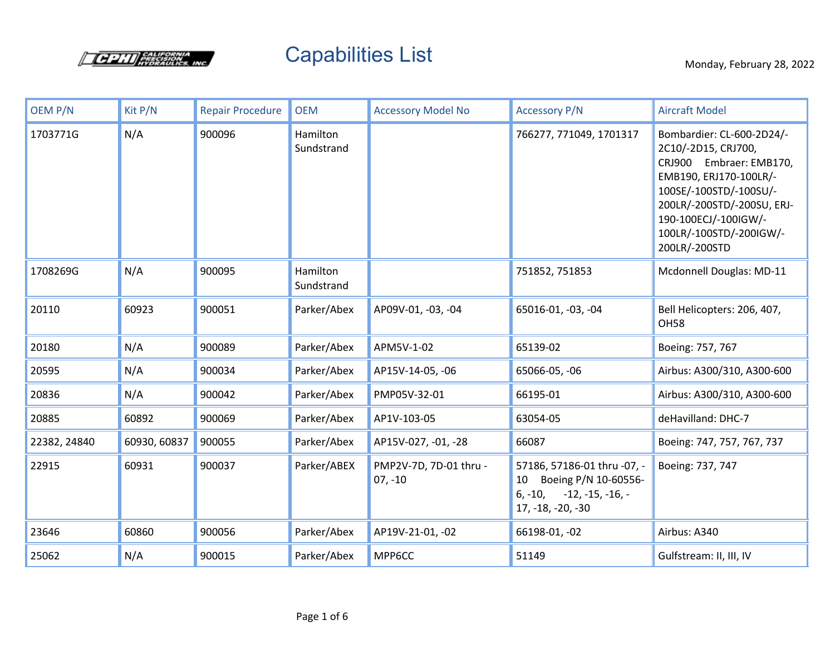

## Capabilities List Monday, February 28, 2022

| OEM P/N      | Kit P/N      | <b>Repair Procedure</b> | <b>OEM</b>             | <b>Accessory Model No</b>           | <b>Accessory P/N</b>                                                                                          | <b>Aircraft Model</b>                                                                                                                                                                                                             |
|--------------|--------------|-------------------------|------------------------|-------------------------------------|---------------------------------------------------------------------------------------------------------------|-----------------------------------------------------------------------------------------------------------------------------------------------------------------------------------------------------------------------------------|
| 1703771G     | N/A          | 900096                  | Hamilton<br>Sundstrand |                                     | 766277, 771049, 1701317                                                                                       | Bombardier: CL-600-2D24/-<br>2C10/-2D15, CRJ700,<br>CRJ900 Embraer: EMB170,<br>EMB190, ERJ170-100LR/-<br>100SE/-100STD/-100SU/-<br>200LR/-200STD/-200SU, ERJ-<br>190-100ECJ/-100IGW/-<br>100LR/-100STD/-200IGW/-<br>200LR/-200STD |
| 1708269G     | N/A          | 900095                  | Hamilton<br>Sundstrand |                                     | 751852, 751853                                                                                                | Mcdonnell Douglas: MD-11                                                                                                                                                                                                          |
| 20110        | 60923        | 900051                  | Parker/Abex            | AP09V-01, -03, -04                  | 65016-01, -03, -04                                                                                            | Bell Helicopters: 206, 407,<br><b>OH58</b>                                                                                                                                                                                        |
| 20180        | N/A          | 900089                  | Parker/Abex            | APM5V-1-02                          | 65139-02                                                                                                      | Boeing: 757, 767                                                                                                                                                                                                                  |
| 20595        | N/A          | 900034                  | Parker/Abex            | AP15V-14-05, -06                    | 65066-05, -06                                                                                                 | Airbus: A300/310, A300-600                                                                                                                                                                                                        |
| 20836        | N/A          | 900042                  | Parker/Abex            | PMP05V-32-01                        | 66195-01                                                                                                      | Airbus: A300/310, A300-600                                                                                                                                                                                                        |
| 20885        | 60892        | 900069                  | Parker/Abex            | AP1V-103-05                         | 63054-05                                                                                                      | deHavilland: DHC-7                                                                                                                                                                                                                |
| 22382, 24840 | 60930, 60837 | 900055                  | Parker/Abex            | AP15V-027, -01, -28                 | 66087                                                                                                         | Boeing: 747, 757, 767, 737                                                                                                                                                                                                        |
| 22915        | 60931        | 900037                  | Parker/ABEX            | PMP2V-7D, 7D-01 thru -<br>$07, -10$ | 57186, 57186-01 thru -07, -<br>Boeing P/N 10-60556-<br>10<br>$6, -10, -12, -15, -16, -1$<br>17, -18, -20, -30 | Boeing: 737, 747                                                                                                                                                                                                                  |
| 23646        | 60860        | 900056                  | Parker/Abex            | AP19V-21-01, -02                    | 66198-01, -02                                                                                                 | Airbus: A340                                                                                                                                                                                                                      |
| 25062        | N/A          | 900015                  | Parker/Abex            | MPP6CC                              | 51149                                                                                                         | Gulfstream: II, III, IV                                                                                                                                                                                                           |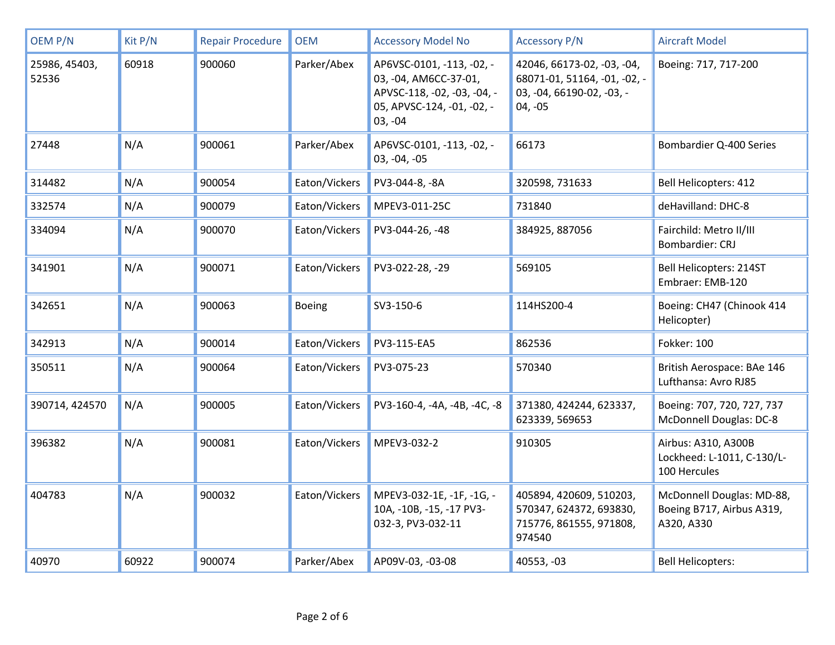| <b>OEM P/N</b>         | Kit P/N | <b>Repair Procedure</b> | <b>OEM</b>    | <b>Accessory Model No</b>                                                                                                    | <b>Accessory P/N</b>                                                                                 | <b>Aircraft Model</b>                                                |
|------------------------|---------|-------------------------|---------------|------------------------------------------------------------------------------------------------------------------------------|------------------------------------------------------------------------------------------------------|----------------------------------------------------------------------|
| 25986, 45403,<br>52536 | 60918   | 900060                  | Parker/Abex   | AP6VSC-0101, -113, -02, -<br>03, -04, AM6CC-37-01,<br>APVSC-118, -02, -03, -04, -<br>05, APVSC-124, -01, -02, -<br>$03, -04$ | 42046, 66173-02, -03, -04,<br>68071-01, 51164, -01, -02, -<br>03, -04, 66190-02, -03, -<br>$04, -05$ | Boeing: 717, 717-200                                                 |
| 27448                  | N/A     | 900061                  | Parker/Abex   | AP6VSC-0101, -113, -02, -<br>03, -04, -05                                                                                    | 66173                                                                                                | Bombardier Q-400 Series                                              |
| 314482                 | N/A     | 900054                  | Eaton/Vickers | PV3-044-8, -8A                                                                                                               | 320598, 731633                                                                                       | <b>Bell Helicopters: 412</b>                                         |
| 332574                 | N/A     | 900079                  | Eaton/Vickers | MPEV3-011-25C                                                                                                                | 731840                                                                                               | deHavilland: DHC-8                                                   |
| 334094                 | N/A     | 900070                  | Eaton/Vickers | PV3-044-26, -48                                                                                                              | 384925, 887056                                                                                       | Fairchild: Metro II/III<br>Bombardier: CRJ                           |
| 341901                 | N/A     | 900071                  | Eaton/Vickers | PV3-022-28, -29                                                                                                              | 569105                                                                                               | Bell Helicopters: 214ST<br>Embraer: EMB-120                          |
| 342651                 | N/A     | 900063                  | Boeing        | SV3-150-6                                                                                                                    | 114HS200-4                                                                                           | Boeing: CH47 (Chinook 414<br>Helicopter)                             |
| 342913                 | N/A     | 900014                  | Eaton/Vickers | PV3-115-EA5                                                                                                                  | 862536                                                                                               | <b>Fokker: 100</b>                                                   |
| 350511                 | N/A     | 900064                  | Eaton/Vickers | PV3-075-23                                                                                                                   | 570340                                                                                               | British Aerospace: BAe 146<br>Lufthansa: Avro RJ85                   |
| 390714, 424570         | N/A     | 900005                  | Eaton/Vickers | PV3-160-4, -4A, -4B, -4C, -8                                                                                                 | 371380, 424244, 623337,<br>623339, 569653                                                            | Boeing: 707, 720, 727, 737<br>McDonnell Douglas: DC-8                |
| 396382                 | N/A     | 900081                  | Eaton/Vickers | MPEV3-032-2                                                                                                                  | 910305                                                                                               | Airbus: A310, A300B<br>Lockheed: L-1011, C-130/L-<br>100 Hercules    |
| 404783                 | N/A     | 900032                  | Eaton/Vickers | MPEV3-032-1E, -1F, -1G, -<br>10A, -10B, -15, -17 PV3-<br>032-3, PV3-032-11                                                   | 405894, 420609, 510203,<br>570347, 624372, 693830,<br>715776, 861555, 971808,<br>974540              | McDonnell Douglas: MD-88,<br>Boeing B717, Airbus A319,<br>A320, A330 |
| 40970                  | 60922   | 900074                  | Parker/Abex   | AP09V-03, -03-08                                                                                                             | 40553, -03                                                                                           | <b>Bell Helicopters:</b>                                             |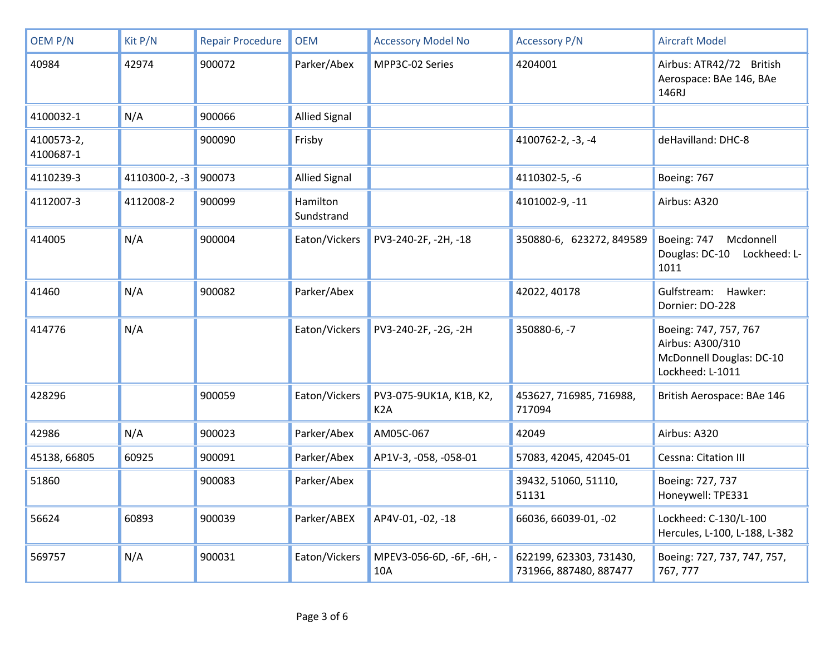| OEM P/N                 | Kit P/N       | <b>Repair Procedure</b> | <b>OEM</b>             | <b>Accessory Model No</b>                   | <b>Accessory P/N</b>                              | <b>Aircraft Model</b>                                                                     |
|-------------------------|---------------|-------------------------|------------------------|---------------------------------------------|---------------------------------------------------|-------------------------------------------------------------------------------------------|
| 40984                   | 42974         | 900072                  | Parker/Abex            | MPP3C-02 Series                             | 4204001                                           | Airbus: ATR42/72 British<br>Aerospace: BAe 146, BAe<br>146RJ                              |
| 4100032-1               | N/A           | 900066                  | <b>Allied Signal</b>   |                                             |                                                   |                                                                                           |
| 4100573-2,<br>4100687-1 |               | 900090                  | Frisby                 |                                             | 4100762-2, -3, -4                                 | deHavilland: DHC-8                                                                        |
| 4110239-3               | 4110300-2, -3 | 900073                  | <b>Allied Signal</b>   |                                             | 4110302-5, -6                                     | Boeing: 767                                                                               |
| 4112007-3               | 4112008-2     | 900099                  | Hamilton<br>Sundstrand |                                             | 4101002-9, -11                                    | Airbus: A320                                                                              |
| 414005                  | N/A           | 900004                  | Eaton/Vickers          | PV3-240-2F, -2H, -18                        | 350880-6, 623272, 849589                          | Boeing: 747<br>Mcdonnell<br>Douglas: DC-10 Lockheed: L-<br>1011                           |
| 41460                   | N/A           | 900082                  | Parker/Abex            |                                             | 42022, 40178                                      | Gulfstream: Hawker:<br>Dornier: DO-228                                                    |
| 414776                  | N/A           |                         | Eaton/Vickers          | PV3-240-2F, -2G, -2H                        | 350880-6, -7                                      | Boeing: 747, 757, 767<br>Airbus: A300/310<br>McDonnell Douglas: DC-10<br>Lockheed: L-1011 |
| 428296                  |               | 900059                  | Eaton/Vickers          | PV3-075-9UK1A, K1B, K2,<br>K <sub>2</sub> A | 453627, 716985, 716988,<br>717094                 | British Aerospace: BAe 146                                                                |
| 42986                   | N/A           | 900023                  | Parker/Abex            | AM05C-067                                   | 42049                                             | Airbus: A320                                                                              |
| 45138, 66805            | 60925         | 900091                  | Parker/Abex            | AP1V-3, -058, -058-01                       | 57083, 42045, 42045-01                            | Cessna: Citation III                                                                      |
| 51860                   |               | 900083                  | Parker/Abex            |                                             | 39432, 51060, 51110,<br>51131                     | Boeing: 727, 737<br>Honeywell: TPE331                                                     |
| 56624                   | 60893         | 900039                  | Parker/ABEX            | AP4V-01, -02, -18                           | 66036, 66039-01, -02                              | Lockheed: C-130/L-100<br>Hercules, L-100, L-188, L-382                                    |
| 569757                  | N/A           | 900031                  | Eaton/Vickers          | MPEV3-056-6D, -6F, -6H, -<br>10A            | 622199, 623303, 731430,<br>731966, 887480, 887477 | Boeing: 727, 737, 747, 757,<br>767, 777                                                   |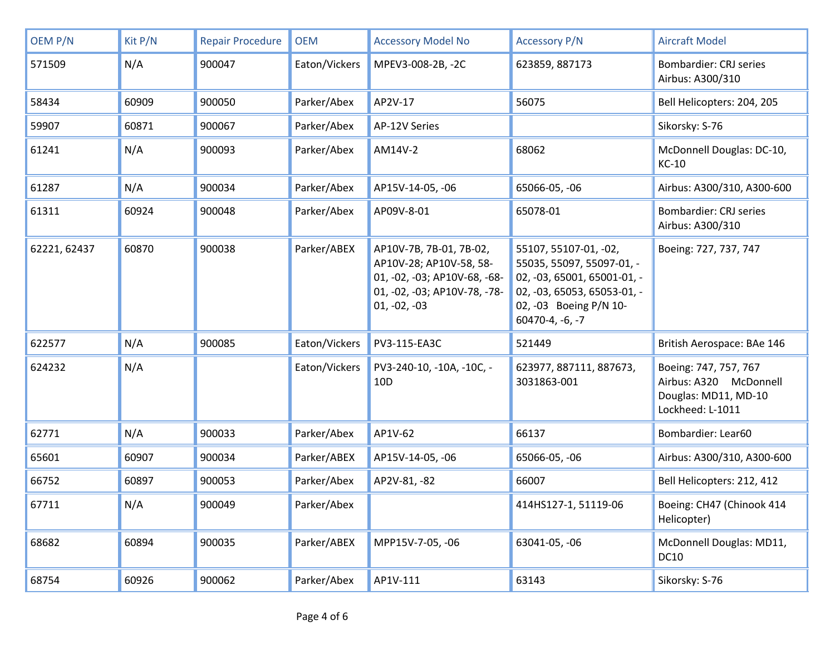| OEM P/N      | Kit P/N | <b>Repair Procedure</b> | <b>OEM</b>    | <b>Accessory Model No</b>                                                                                                            | <b>Accessory P/N</b>                                                                                                                                            | <b>Aircraft Model</b>                                                                       |
|--------------|---------|-------------------------|---------------|--------------------------------------------------------------------------------------------------------------------------------------|-----------------------------------------------------------------------------------------------------------------------------------------------------------------|---------------------------------------------------------------------------------------------|
| 571509       | N/A     | 900047                  | Eaton/Vickers | MPEV3-008-2B, -2C                                                                                                                    | 623859, 887173                                                                                                                                                  | <b>Bombardier: CRJ series</b><br>Airbus: A300/310                                           |
| 58434        | 60909   | 900050                  | Parker/Abex   | AP2V-17                                                                                                                              | 56075                                                                                                                                                           | Bell Helicopters: 204, 205                                                                  |
| 59907        | 60871   | 900067                  | Parker/Abex   | AP-12V Series                                                                                                                        |                                                                                                                                                                 | Sikorsky: S-76                                                                              |
| 61241        | N/A     | 900093                  | Parker/Abex   | AM14V-2                                                                                                                              | 68062                                                                                                                                                           | McDonnell Douglas: DC-10,<br><b>KC-10</b>                                                   |
| 61287        | N/A     | 900034                  | Parker/Abex   | AP15V-14-05, -06                                                                                                                     | 65066-05, -06                                                                                                                                                   | Airbus: A300/310, A300-600                                                                  |
| 61311        | 60924   | 900048                  | Parker/Abex   | AP09V-8-01                                                                                                                           | 65078-01                                                                                                                                                        | <b>Bombardier: CRJ series</b><br>Airbus: A300/310                                           |
| 62221, 62437 | 60870   | 900038                  | Parker/ABEX   | AP10V-7B, 7B-01, 7B-02,<br>AP10V-28; AP10V-58, 58-<br>01, -02, -03; AP10V-68, -68-<br>01, -02, -03; AP10V-78, -78-<br>$01, -02, -03$ | 55107, 55107-01, -02,<br>55035, 55097, 55097-01, -<br>02, -03, 65001, 65001-01, -<br>02, -03, 65053, 65053-01, -<br>02, -03 Boeing P/N 10-<br>$60470-4, -6, -7$ | Boeing: 727, 737, 747                                                                       |
| 622577       | N/A     | 900085                  | Eaton/Vickers | PV3-115-EA3C                                                                                                                         | 521449                                                                                                                                                          | British Aerospace: BAe 146                                                                  |
| 624232       | N/A     |                         | Eaton/Vickers | PV3-240-10, -10A, -10C, -<br>10 <sub>D</sub>                                                                                         | 623977, 887111, 887673,<br>3031863-001                                                                                                                          | Boeing: 747, 757, 767<br>Airbus: A320 McDonnell<br>Douglas: MD11, MD-10<br>Lockheed: L-1011 |
| 62771        | N/A     | 900033                  | Parker/Abex   | AP1V-62                                                                                                                              | 66137                                                                                                                                                           | Bombardier: Lear60                                                                          |
| 65601        | 60907   | 900034                  | Parker/ABEX   | AP15V-14-05, -06                                                                                                                     | 65066-05, -06                                                                                                                                                   | Airbus: A300/310, A300-600                                                                  |
| 66752        | 60897   | 900053                  | Parker/Abex   | AP2V-81, -82                                                                                                                         | 66007                                                                                                                                                           | Bell Helicopters: 212, 412                                                                  |
| 67711        | N/A     | 900049                  | Parker/Abex   |                                                                                                                                      | 414HS127-1, 51119-06                                                                                                                                            | Boeing: CH47 (Chinook 414<br>Helicopter)                                                    |
| 68682        | 60894   | 900035                  | Parker/ABEX   | MPP15V-7-05, -06                                                                                                                     | 63041-05, -06                                                                                                                                                   | McDonnell Douglas: MD11,<br><b>DC10</b>                                                     |
| 68754        | 60926   | 900062                  | Parker/Abex   | AP1V-111                                                                                                                             | 63143                                                                                                                                                           | Sikorsky: S-76                                                                              |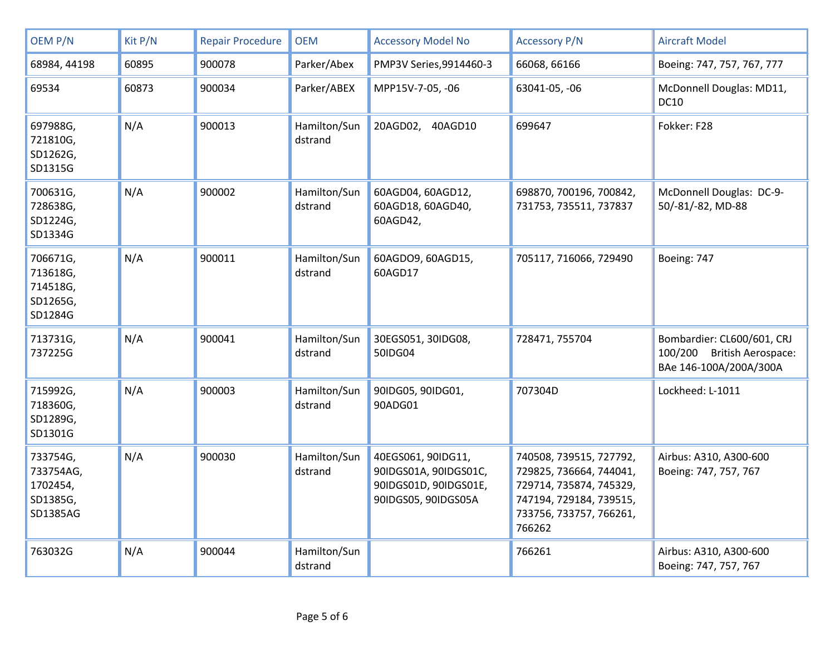| OEM P/N                                                   | Kit P/N | <b>Repair Procedure</b> | <b>OEM</b>              | <b>Accessory Model No</b>                                                                   | <b>Accessory P/N</b>                                                                                                                          | <b>Aircraft Model</b>                                                              |
|-----------------------------------------------------------|---------|-------------------------|-------------------------|---------------------------------------------------------------------------------------------|-----------------------------------------------------------------------------------------------------------------------------------------------|------------------------------------------------------------------------------------|
| 68984, 44198                                              | 60895   | 900078                  | Parker/Abex             | PMP3V Series, 9914460-3                                                                     | 66068, 66166                                                                                                                                  | Boeing: 747, 757, 767, 777                                                         |
| 69534                                                     | 60873   | 900034                  | Parker/ABEX             | MPP15V-7-05, -06                                                                            | 63041-05, -06                                                                                                                                 | McDonnell Douglas: MD11,<br><b>DC10</b>                                            |
| 697988G,<br>721810G,<br>SD1262G,<br>SD1315G               | N/A     | 900013                  | Hamilton/Sun<br>dstrand | 20AGD02, 40AGD10                                                                            | 699647                                                                                                                                        | Fokker: F28                                                                        |
| 700631G,<br>728638G,<br>SD1224G,<br>SD1334G               | N/A     | 900002                  | Hamilton/Sun<br>dstrand | 60AGD04, 60AGD12,<br>60AGD18, 60AGD40,<br>60AGD42,                                          | 698870, 700196, 700842,<br>731753, 735511, 737837                                                                                             | McDonnell Douglas: DC-9-<br>50/-81/-82, MD-88                                      |
| 706671G,<br>713618G,<br>714518G,<br>SD1265G,<br>SD1284G   | N/A     | 900011                  | Hamilton/Sun<br>dstrand | 60AGDO9, 60AGD15,<br>60AGD17                                                                | 705117, 716066, 729490                                                                                                                        | Boeing: 747                                                                        |
| 713731G,<br>737225G                                       | N/A     | 900041                  | Hamilton/Sun<br>dstrand | 30EGS051, 30IDG08,<br>50IDG04                                                               | 728471, 755704                                                                                                                                | Bombardier: CL600/601, CRJ<br>100/200 British Aerospace:<br>BAe 146-100A/200A/300A |
| 715992G,<br>718360G,<br>SD1289G,<br>SD1301G               | N/A     | 900003                  | Hamilton/Sun<br>dstrand | 90IDG05, 90IDG01,<br>90ADG01                                                                | 707304D                                                                                                                                       | Lockheed: L-1011                                                                   |
| 733754G,<br>733754AG,<br>1702454,<br>SD1385G,<br>SD1385AG | N/A     | 900030                  | Hamilton/Sun<br>dstrand | 40EGS061, 90IDG11,<br>90IDGS01A, 90IDGS01C,<br>90IDGS01D, 90IDGS01E,<br>90IDGS05, 90IDGS05A | 740508, 739515, 727792,<br>729825, 736664, 744041,<br>729714, 735874, 745329,<br>747194, 729184, 739515,<br>733756, 733757, 766261,<br>766262 | Airbus: A310, A300-600<br>Boeing: 747, 757, 767                                    |
| 763032G                                                   | N/A     | 900044                  | Hamilton/Sun<br>dstrand |                                                                                             | 766261                                                                                                                                        | Airbus: A310, A300-600<br>Boeing: 747, 757, 767                                    |